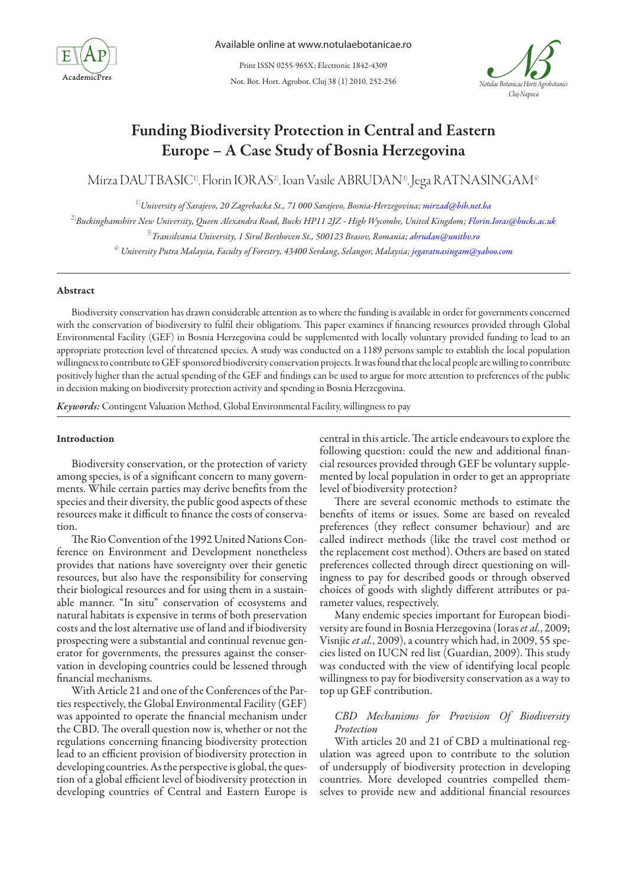

Not. Bot. Hort. Agrobot. Cluj 38 (1) 2010, 252-256 Print ISSN 0255-965X; Electronic 1842-4309



# Funding Biodiversity Protection in Central and Eastern Europe – A Case Study of Bosnia Herzegovina

Mirza DAUTBASIC1), Florin IORAS2), Ioan Vasile ABRUDAN3), Jega RATNASINGAM4)

1)*University of Sarajevo, 20 Zagrebacka St., 71 000 Sarajevo, Bosnia-Herzegovina; mirzad@bih.net.ba*

2)*Buckinghamshire New University, Queen Alexandra Road, Bucks HP11 2JZ - High Wycombe, United Kingdom; Florin.Ioras@bucks.ac.uk*

3)*Transilvania University, 1 Sirul Beethoven St., 500123 Brasov, Romania; abrudan@unitbv.ro*

4) *University Putra Malaysia, Faculty of Forestry, 43400 Serdang, Selangor, Malaysia; jegaratnasingam@yahoo.com*

### Abstract

Biodiversity conservation has drawn considerable attention as to where the funding is available in order for governments concerned with the conservation of biodiversity to fulfil their obligations. This paper examines if financing resources provided through Global Environmental Facility (GEF) in Bosnia Herzegovina could be supplemented with locally voluntary provided funding to lead to an appropriate protection level of threatened species. A study was conducted on a 1189 persons sample to establish the local population willingness to contribute to GEF sponsored biodiversity conservation projects. It was found that the local people are willing to contribute positively higher than the actual spending of the GEF and findings can be used to argue for more attention to preferences of the public in decision making on biodiversity protection activity and spending in Bosnia Herzegovina.

*Keywords:* Contingent Valuation Method, Global Environmental Facility, willingness to pay

## Introduction

Biodiversity conservation, or the protection of variety among species, is of a significant concern to many governments. While certain parties may derive benefits from the species and their diversity, the public good aspects of these resources make it difficult to finance the costs of conservation.

The Rio Convention of the 1992 United Nations Conference on Environment and Development nonetheless provides that nations have sovereignty over their genetic resources, but also have the responsibility for conserving their biological resources and for using them in a sustainable manner. "In situ" conservation of ecosystems and natural habitats is expensive in terms of both preservation costs and the lost alternative use of land and if biodiversity prospecting were a substantial and continual revenue generator for governments, the pressures against the conservation in developing countries could be lessened through financial mechanisms.

With Article 21 and one of the Conferences of the Parties respectively, the Global Environmental Facility (GEF) was appointed to operate the financial mechanism under the CBD. The overall question now is, whether or not the regulations concerning financing biodiversity protection lead to an efficient provision of biodiversity protection in developing countries. As the perspective is global, the question of a global efficient level of biodiversity protection in developing countries of Central and Eastern Europe is

central in this article. The article endeavours to explore the following question: could the new and additional financial resources provided through GEF be voluntary supplemented by local population in order to get an appropriate level of biodiversity protection?

There are several economic methods to estimate the benefits of items or issues. Some are based on revealed preferences (they reflect consumer behaviour) and are called indirect methods (like the travel cost method or the replacement cost method). Others are based on stated preferences collected through direct questioning on willingness to pay for described goods or through observed choices of goods with slightly different attributes or parameter values, respectively.

Many endemic species important for European biodiversity are found in Bosnia Herzegovina (Ioras *et al.*, 2009; Visnjic *et al.*, 2009), a country which had, in 2009, 55 species listed on IUCN red list (Guardian, 2009). This study was conducted with the view of identifying local people willingness to pay for biodiversity conservation as a way to top up GEF contribution.

# *CBD Mechanisms for Provision Of Biodiversity Protection*

With articles 20 and 21 of CBD a multinational regulation was agreed upon to contribute to the solution of undersupply of biodiversity protection in developing countries. More developed countries compelled themselves to provide new and additional financial resources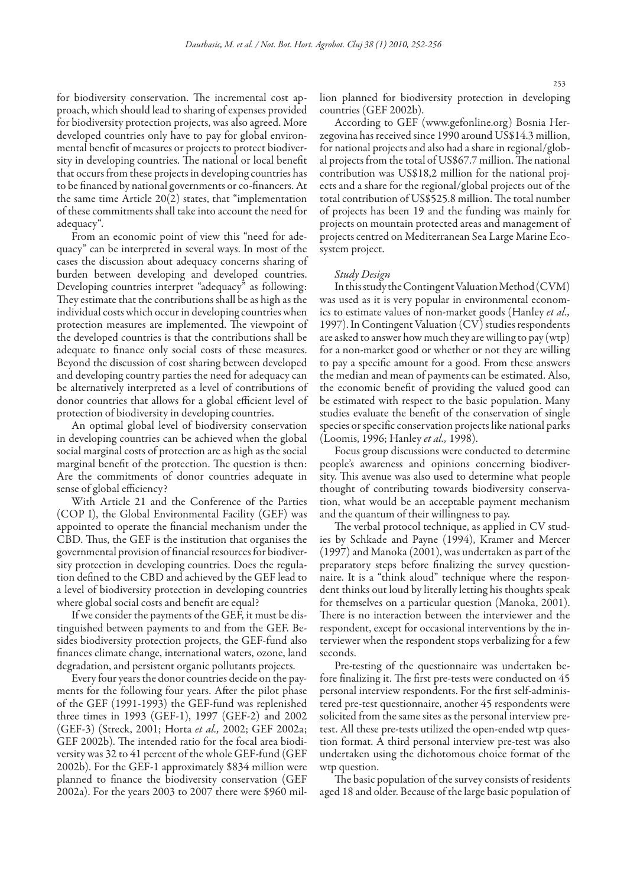for biodiversity conservation. The incremental cost approach, which should lead to sharing of expenses provided for biodiversity protection projects, was also agreed. More developed countries only have to pay for global environmental benefit of measures or projects to protect biodiversity in developing countries. The national or local benefit that occurs from these projects in developing countries has to be financed by national governments or co-financers. At the same time Article 20(2) states, that "implementation of these commitments shall take into account the need for adequacy".

From an economic point of view this "need for adequacy" can be interpreted in several ways. In most of the cases the discussion about adequacy concerns sharing of burden between developing and developed countries. Developing countries interpret "adequacy" as following: They estimate that the contributions shall be as high as the individual costs which occur in developing countries when protection measures are implemented. The viewpoint of the developed countries is that the contributions shall be adequate to finance only social costs of these measures. Beyond the discussion of cost sharing between developed and developing country parties the need for adequacy can be alternatively interpreted as a level of contributions of donor countries that allows for a global efficient level of protection of biodiversity in developing countries.

An optimal global level of biodiversity conservation in developing countries can be achieved when the global social marginal costs of protection are as high as the social marginal benefit of the protection. The question is then: Are the commitments of donor countries adequate in sense of global efficiency?

With Article 21 and the Conference of the Parties (COP I), the Global Environmental Facility (GEF) was appointed to operate the financial mechanism under the CBD. Thus, the GEF is the institution that organises the governmental provision of financial resources for biodiversity protection in developing countries. Does the regulation defined to the CBD and achieved by the GEF lead to a level of biodiversity protection in developing countries where global social costs and benefit are equal?

If we consider the payments of the GEF, it must be distinguished between payments to and from the GEF. Besides biodiversity protection projects, the GEF-fund also finances climate change, international waters, ozone, land degradation, and persistent organic pollutants projects.

Every four years the donor countries decide on the payments for the following four years. After the pilot phase of the GEF (1991-1993) the GEF-fund was replenished three times in 1993 (GEF-1), 1997 (GEF-2) and 2002 (GEF-3) (Streck, 2001; Horta *et al.,* 2002; GEF 2002a; GEF 2002b). The intended ratio for the focal area biodiversity was 32 to 41 percent of the whole GEF-fund (GEF 2002b). For the GEF-1 approximately \$834 million were planned to finance the biodiversity conservation (GEF 2002a). For the years 2003 to 2007 there were \$960 million planned for biodiversity protection in developing countries (GEF 2002b).

According to GEF (www.gefonline.org) Bosnia Herzegovina has received since 1990 around US\$14.3 million, for national projects and also had a share in regional/global projects from the total of US\$67.7 million. The national contribution was US\$18,2 million for the national projects and a share for the regional/global projects out of the total contribution of US\$525.8 million. The total number of projects has been 19 and the funding was mainly for projects on mountain protected areas and management of projects centred on Mediterranean Sea Large Marine Ecosystem project.

#### *Study Design*

In this study the Contingent Valuation Method (CVM) was used as it is very popular in environmental economics to estimate values of non-market goods (Hanley *et al.,* 1997). In Contingent Valuation (CV) studies respondents are asked to answer how much they are willing to pay (wtp) for a non-market good or whether or not they are willing to pay a specific amount for a good. From these answers the median and mean of payments can be estimated. Also, the economic benefit of providing the valued good can be estimated with respect to the basic population. Many studies evaluate the benefit of the conservation of single species or specific conservation projects like national parks (Loomis, 1996; Hanley *et al.,* 1998).

Focus group discussions were conducted to determine people's awareness and opinions concerning biodiversity. This avenue was also used to determine what people thought of contributing towards biodiversity conservation, what would be an acceptable payment mechanism and the quantum of their willingness to pay.

The verbal protocol technique, as applied in CV studies by Schkade and Payne (1994), Kramer and Mercer (1997) and Manoka (2001), was undertaken as part of the preparatory steps before finalizing the survey questionnaire. It is a "think aloud" technique where the respondent thinks out loud by literally letting his thoughts speak for themselves on a particular question (Manoka, 2001). There is no interaction between the interviewer and the respondent, except for occasional interventions by the interviewer when the respondent stops verbalizing for a few seconds.

Pre-testing of the questionnaire was undertaken before finalizing it. The first pre-tests were conducted on 45 personal interview respondents. For the first self-administered pre-test questionnaire, another 45 respondents were solicited from the same sites as the personal interview pretest. All these pre-tests utilized the open-ended wtp question format. A third personal interview pre-test was also undertaken using the dichotomous choice format of the wtp question.

The basic population of the survey consists of residents aged 18 and older. Because of the large basic population of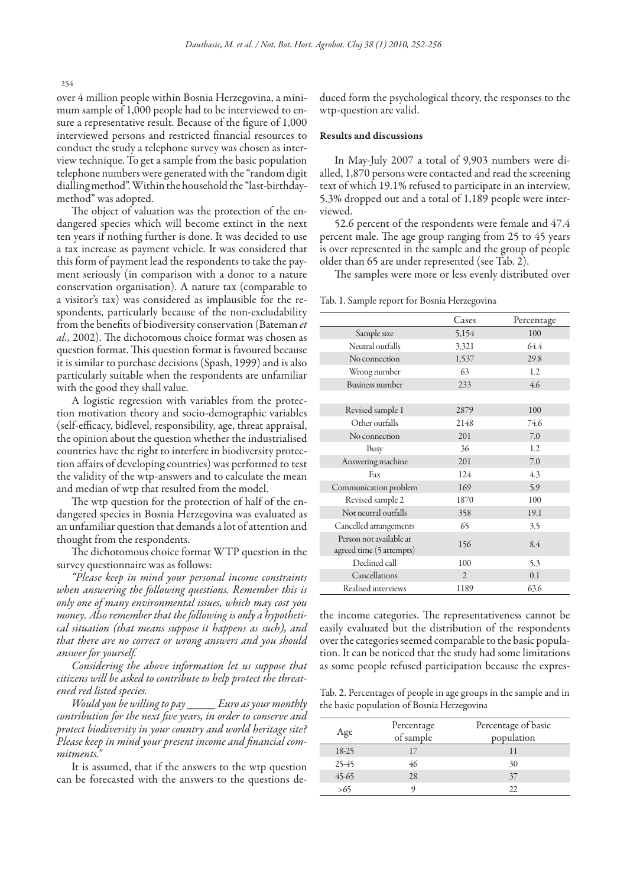254

over 4 million people within Bosnia Herzegovina, a minimum sample of 1,000 people had to be interviewed to ensure a representative result. Because of the figure of 1,000 interviewed persons and restricted financial resources to conduct the study a telephone survey was chosen as interview technique. To get a sample from the basic population telephone numbers were generated with the "random digit dialling method". Within the household the "last-birthdaymethod" was adopted.

The object of valuation was the protection of the endangered species which will become extinct in the next ten years if nothing further is done. It was decided to use a tax increase as payment vehicle. It was considered that this form of payment lead the respondents to take the payment seriously (in comparison with a donor to a nature conservation organisation). A nature tax (comparable to a visitor's tax) was considered as implausible for the respondents, particularly because of the non-excludability from the benefits of biodiversity conservation (Bateman *et al.,* 2002). The dichotomous choice format was chosen as question format. This question format is favoured because it is similar to purchase decisions (Spash, 1999) and is also particularly suitable when the respondents are unfamiliar with the good they shall value.

A logistic regression with variables from the protection motivation theory and socio-demographic variables (self-efficacy, bidlevel, responsibility, age, threat appraisal, the opinion about the question whether the industrialised countries have the right to interfere in biodiversity protection affairs of developing countries) was performed to test the validity of the wtp-answers and to calculate the mean and median of wtp that resulted from the model.

The wtp question for the protection of half of the endangered species in Bosnia Herzegovina was evaluated as an unfamiliar question that demands a lot of attention and thought from the respondents.

The dichotomous choice format WTP question in the survey questionnaire was as follows:

*"Please keep in mind your personal income constraints when answering the following questions. Remember this is only one of many environmental issues, which may cost you money. Also remember that the following is only a hypothetical situation (that means suppose it happens as such), and that there are no correct or wrong answers and you should answer for yourself.* 

*Considering the above information let us suppose that citizens will be asked to contribute to help protect the threatened red listed species.* 

*Would you be willing to pay \_\_\_\_\_ Euro as your monthly contribution for the next five years, in order to conserve and protect biodiversity in your country and world heritage site? Please keep in mind your present income and financial commitments."* 

It is assumed, that if the answers to the wtp question can be forecasted with the answers to the questions deduced form the psychological theory, the responses to the wtp-question are valid.

#### Results and discussions

In May-July 2007 a total of 9,903 numbers were dialled, 1,870 persons were contacted and read the screening text of which 19.1% refused to participate in an interview, 5.3% dropped out and a total of 1,189 people were interviewed.

52.6 percent of the respondents were female and 47.4 percent male. The age group ranging from 25 to 45 years is over represented in the sample and the group of people older than 65 are under represented (see Tab. 2).

The samples were more or less evenly distributed over

Tab. 1. Sample report for Bosnia Herzegovina

|                                                     | Cases          | Percentage |
|-----------------------------------------------------|----------------|------------|
| Sample size                                         | 5,154          | 100        |
| Neutral outfalls                                    | 3,321          | 64.4       |
| No connection                                       | 1,537          | 29.8       |
| Wrong number                                        | 63             | 1.2        |
| <b>Business number</b>                              | 233            | 4.6        |
|                                                     |                |            |
| Revised sample 1                                    | 2879           | 100        |
| Other outfalls                                      | 2148           | 74.6       |
| No connection                                       | 201            | 7.0        |
| <b>Busy</b>                                         | 36             | 1.2        |
| Answering machine                                   | 201            | 7.0        |
| Fax                                                 | 124            | 4.3        |
| Communication problem                               | 169            | 5.9        |
| Revised sample 2                                    | 1870           | 100        |
| Not neutral outfalls                                | 358            | 19.1       |
| Cancelled arrangements                              | 65             | 3.5        |
| Person not available at<br>agreed time (5 attempts) | 156            | 8.4        |
| Declined call                                       | 100            | 5.3        |
| Cancellations                                       | $\overline{2}$ | 0.1        |
| Realised interviews                                 | 1189           | 63.6       |

the income categories. The representativeness cannot be easily evaluated but the distribution of the respondents over the categories seemed comparable to the basic population. It can be noticed that the study had some limitations as some people refused participation because the expres-

Tab. 2. Percentages of people in age groups in the sample and in the basic population of Bosnia Herzegovina

| Age     | Percentage<br>of sample | Percentage of basic<br>population |
|---------|-------------------------|-----------------------------------|
| 18-25   |                         |                                   |
| 25-45   | 46                      | 30                                |
| $45-65$ | 28                      | 37                                |
| >65     |                         | 77                                |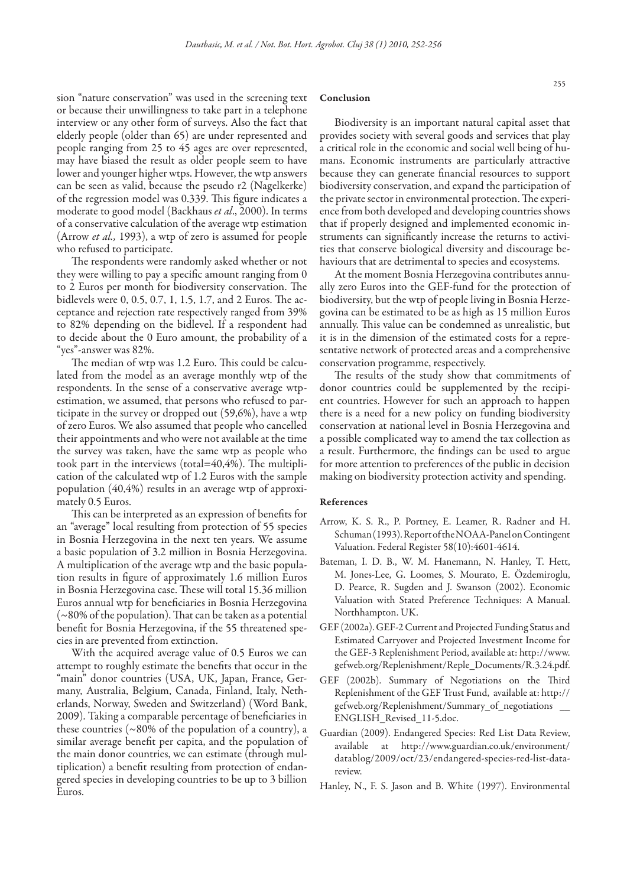sion "nature conservation" was used in the screening text or because their unwillingness to take part in a telephone interview or any other form of surveys. Also the fact that elderly people (older than 65) are under represented and people ranging from 25 to 45 ages are over represented, may have biased the result as older people seem to have lower and younger higher wtps. However, the wtp answers can be seen as valid, because the pseudo r2 (Nagelkerke) of the regression model was 0.339. This figure indicates a moderate to good model (Backhaus *et al*., 2000). In terms of a conservative calculation of the average wtp estimation (Arrow *et al.,* 1993), a wtp of zero is assumed for people who refused to participate.

The respondents were randomly asked whether or not they were willing to pay a specific amount ranging from 0 to 2 Euros per month for biodiversity conservation. The bidlevels were 0, 0.5, 0.7, 1, 1.5, 1.7, and 2 Euros. The acceptance and rejection rate respectively ranged from 39% to 82% depending on the bidlevel. If a respondent had to decide about the 0 Euro amount, the probability of a "yes"-answer was 82%.

The median of wtp was 1.2 Euro. This could be calculated from the model as an average monthly wtp of the respondents. In the sense of a conservative average wtpestimation, we assumed, that persons who refused to participate in the survey or dropped out (59,6%), have a wtp of zero Euros. We also assumed that people who cancelled their appointments and who were not available at the time the survey was taken, have the same wtp as people who took part in the interviews (total=40,4%). The multiplication of the calculated wtp of 1.2 Euros with the sample population (40,4%) results in an average wtp of approximately 0.5 Euros.

This can be interpreted as an expression of benefits for an "average" local resulting from protection of 55 species in Bosnia Herzegovina in the next ten years. We assume a basic population of 3.2 million in Bosnia Herzegovina. A multiplication of the average wtp and the basic population results in figure of approximately 1.6 million Euros in Bosnia Herzegovina case. These will total 15.36 million Euros annual wtp for beneficiaries in Bosnia Herzegovina (~80% of the population). That can be taken as a potential benefit for Bosnia Herzegovina, if the 55 threatened species in are prevented from extinction.

With the acquired average value of 0.5 Euros we can attempt to roughly estimate the benefits that occur in the "main" donor countries (USA, UK, Japan, France, Germany, Australia, Belgium, Canada, Finland, Italy, Netherlands, Norway, Sweden and Switzerland) (Word Bank, 2009). Taking a comparable percentage of beneficiaries in these countries ( $\sim 80\%$  of the population of a country), a similar average benefit per capita, and the population of the main donor countries, we can estimate (through multiplication) a benefit resulting from protection of endangered species in developing countries to be up to 3 billion Euros.

#### Conclusion

Biodiversity is an important natural capital asset that provides society with several goods and services that play a critical role in the economic and social well being of humans. Economic instruments are particularly attractive because they can generate financial resources to support biodiversity conservation, and expand the participation of the private sector in environmental protection. The experience from both developed and developing countries shows that if properly designed and implemented economic instruments can significantly increase the returns to activities that conserve biological diversity and discourage behaviours that are detrimental to species and ecosystems.

At the moment Bosnia Herzegovina contributes annually zero Euros into the GEF-fund for the protection of biodiversity, but the wtp of people living in Bosnia Herzegovina can be estimated to be as high as 15 million Euros annually. This value can be condemned as unrealistic, but it is in the dimension of the estimated costs for a representative network of protected areas and a comprehensive conservation programme, respectively.

The results of the study show that commitments of donor countries could be supplemented by the recipient countries. However for such an approach to happen there is a need for a new policy on funding biodiversity conservation at national level in Bosnia Herzegovina and a possible complicated way to amend the tax collection as a result. Furthermore, the findings can be used to argue for more attention to preferences of the public in decision making on biodiversity protection activity and spending.

#### References

- Arrow, K. S. R., P. Portney, E. Leamer, R. Radner and H. Schuman (1993). Report of the NOAA-Panel on Contingent Valuation. Federal Register 58(10):4601-4614.
- Bateman, I. D. B., W. M. Hanemann, N. Hanley, T. Hett, M. Jones-Lee, G. Loomes, S. Mourato, E. Özdemiroglu, D. Pearce, R. Sugden and J. Swanson (2002). Economic Valuation with Stated Preference Techniques: A Manual. Northhampton. UK.
- GEF (2002a). GEF-2 Current and Projected Funding Status and Estimated Carryover and Projected Investment Income for the GEF-3 Replenishment Period, available at: http://www. gefweb.org/Replenishment/Reple\_Documents/R.3.24.pdf.
- GEF (2002b). Summary of Negotiations on the Third Replenishment of the GEF Trust Fund, available at: http:// gefweb.org/Replenishment/Summary\_of\_negotiations \_\_ ENGLISH\_Revised\_11-5.doc.
- Guardian (2009). Endangered Species: Red List Data Review, available at http://www.guardian.co.uk/environment/ datablog/2009/oct/23/endangered-species-red-list-datareview.
- Hanley, N., F. S. Jason and B. White (1997). Environmental